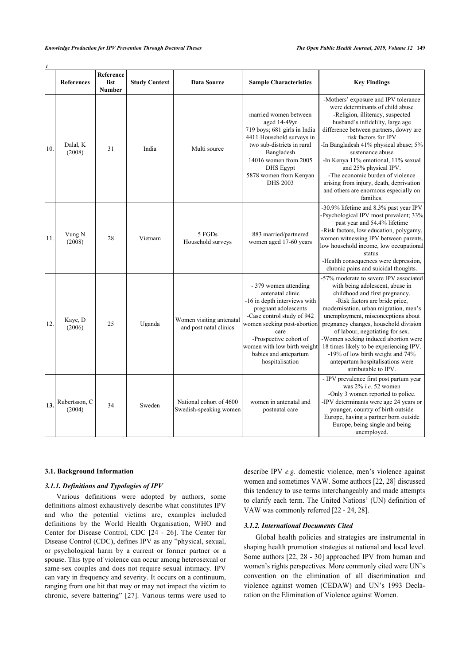|     | <b>References</b>       | Reference<br>list<br><b>Number</b> | <b>Study Context</b> | <b>Data Source</b>                                 | <b>Sample Characteristics</b>                                                                                                                                                                                                                                               | <b>Key Findings</b>                                                                                                                                                                                                                                                                                                                                                                                                                                                                         |
|-----|-------------------------|------------------------------------|----------------------|----------------------------------------------------|-----------------------------------------------------------------------------------------------------------------------------------------------------------------------------------------------------------------------------------------------------------------------------|---------------------------------------------------------------------------------------------------------------------------------------------------------------------------------------------------------------------------------------------------------------------------------------------------------------------------------------------------------------------------------------------------------------------------------------------------------------------------------------------|
| 10. | Dalal, K<br>(2008)      | 31                                 | India                | Multi source                                       | married women between<br>aged 14-49yr<br>719 boys; 681 girls in India<br>4411 Household surveys in<br>two sub-districts in rural<br>Bangladesh<br>14016 women from 2005<br><b>DHS</b> Egypt<br>5878 women from Kenyan<br><b>DHS 2003</b>                                    | -Mothers' exposure and IPV tolerance<br>were determinants of child abuse<br>-Religion, illiteracy, suspected<br>husband's infidelilty, large age<br>difference between partners, dowry are<br>risk factors for IPV<br>-In Bangladesh 41% physical abuse; 5%<br>sustenance abuse<br>-In Kenya 11% emotional, 11% sexual<br>and 25% physical IPV.<br>-The economic burden of violence<br>arising from injury, death, deprivation<br>and others are enormous especially on<br>families.        |
| 11. | Vung N<br>(2008)        | 28                                 | Vietnam              | 5 FGDs<br>Household surveys                        | 883 married/partnered<br>women aged 17-60 years                                                                                                                                                                                                                             | -30.9% lifetime and 8.3% past year IPV<br>-Psychological IPV most prevalent; 33%<br>past year and 54.4% lifetime<br>-Risk factors, low education, polygamy,<br>women witnessing IPV between parents,<br>low household income, low occupational<br>status.<br>-Health consequences were depression,<br>chronic pains and suicidal thoughts.                                                                                                                                                  |
| 12. | Kaye, D<br>(2006)       | 25                                 | Uganda               | Women visiting antenatal<br>and post natal clinics | - 379 women attending<br>antenatal clinic<br>-16 in depth interviews with<br>pregnant adolescents<br>-Case control study of 942<br>women seeking post-abortion<br>care<br>-Prospective cohort of<br>women with low birth weight<br>babies and antepartum<br>hospitalisation | -57% moderate to severe IPV associated<br>with being adolescent, abuse in<br>childhood and first pregnancy.<br>-Risk factors are bride price,<br>modernisation, urban migration, men's<br>unemployment, misconceptions about<br>pregnancy changes, household division<br>of labour, negotiating for sex.<br>-Women seeking induced abortion were<br>18 times likely to be experiencing IPV.<br>-19% of low birth weight and 74%<br>antepartum hospitalisations were<br>attributable to IPV. |
| 13. | Rubertsson, C<br>(2004) | 34                                 | Sweden               | National cohort of 4600<br>Swedish-speaking women  | women in antenatal and<br>postnatal care                                                                                                                                                                                                                                    | - IPV prevalence first post partum year<br>was 2% i.e. 52 women<br>-Only 3 women reported to police.<br>-IPV determinants were age 24 years or<br>younger, country of birth outside<br>Europe, having a partner born outside<br>Europe, being single and being<br>unemployed.                                                                                                                                                                                                               |

#### □7DEOH *1*

### **3.1. Background Information**

# *3.1.1. Definitions and Typologies of IPV*

Various definitions were adopted by authors, some definitions almost exhaustively describe what constitutes IPV and who the potential victims are, examples included definitions by the World Health Organisation, WHO and Center for Disease Control, CDC [24 - 26]. The Center for Disease Control (CDC), defines IPV as any "physical, sexual, or psychological harm by a current or former partner or a spouse. This type of violence can occur among heterosexual or same-sex couples and does not require sexual intimacy. IPV can vary in frequency and severity. It occurs on a continuum, ranging from one hit that may or may not impact the victim to chronic, severe battering" [27]. Various terms were used to

describe IPV *e.g.* domestic violence, men's violence against women and sometimes VAW. Some authors [22, 28] discussed this tendency to use terms interchangeably and made attempts to clarify each term. The United Nations' (UN) definition of VAW was commonly referred [22 - 24, 28].

# *3.1.2. International Documents Cited*

Global health policies and strategies are instrumental in shaping health promotion strategies at national and local level. Some authors [22, 28 - 30] approached IPV from human and women's rights perspectives. More commonly cited were UN's convention on the elimination of all discrimination and violence against women (CEDAW) and UN's 1993 Declaration on the Elimination of Violence against Women.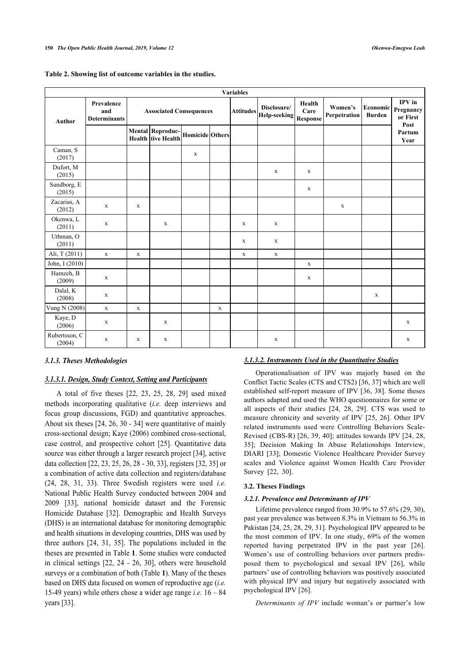| <b>Variables</b>        |                                          |                                |                                               |                 |             |                                         |                                   |                         |                           |                                         |                |  |
|-------------------------|------------------------------------------|--------------------------------|-----------------------------------------------|-----------------|-------------|-----------------------------------------|-----------------------------------|-------------------------|---------------------------|-----------------------------------------|----------------|--|
| <b>Author</b>           | Prevalence<br>and<br><b>Determinants</b> | <b>Associated Consequences</b> |                                               |                 |             | Disclosure/<br> Attitudes  Help-seeking | Health<br>Care<br><b>Response</b> | Women's<br>Perpetration | Economic<br><b>Burden</b> | IPV in<br>Pregnancy<br>or First<br>Post |                |  |
|                         |                                          |                                | Mental Reproduc-<br><b>Health</b> tive Health | Homicide Others |             |                                         |                                   |                         |                           |                                         | Partum<br>Year |  |
| Caman, S<br>(2017)      |                                          |                                |                                               | $\mathbf X$     |             |                                         |                                   |                         |                           |                                         |                |  |
| Dufort, M<br>(2015)     |                                          |                                |                                               |                 |             |                                         | $\mathbf X$                       | $\mathbf x$             |                           |                                         |                |  |
| Sundborg, E<br>(2015)   |                                          |                                |                                               |                 |             |                                         |                                   | X                       |                           |                                         |                |  |
| Zacarias, A<br>(2012)   | $\mathbf X$                              | $\mathbf X$                    |                                               |                 |             |                                         |                                   |                         | $\mathbf X$               |                                         |                |  |
| Okenwa, L<br>(2011)     | $\mathbf X$                              |                                | $\mathbf X$                                   |                 |             | $\mathbf{X}$                            | $\mathbf X$                       |                         |                           |                                         |                |  |
| Uthman, O<br>(2011)     |                                          |                                |                                               |                 |             | X                                       | X                                 |                         |                           |                                         |                |  |
| Ali, T (2011)           | $\mathbf X$                              | $\mathbf X$                    |                                               |                 |             | $\mathbf X$                             | $\mathbf X$                       |                         |                           |                                         |                |  |
| John, I (2010)          |                                          |                                |                                               |                 |             |                                         |                                   | $\mathbf X$             |                           |                                         |                |  |
| Hamzeh, B<br>(2009)     | $\mathbf X$                              |                                |                                               |                 |             |                                         |                                   | $\mathbf X$             |                           |                                         |                |  |
| Dalal, K<br>(2008)      | $\mathbf X$                              |                                |                                               |                 |             |                                         |                                   |                         |                           | $\mathbf x$                             |                |  |
| Vung N (2008)           | $\mathbf X$                              | $\mathbf X$                    |                                               |                 | $\mathbf X$ |                                         |                                   |                         |                           |                                         |                |  |
| Kaye, D<br>(2006)       | $\mathbf X$                              |                                | $\mathbf X$                                   |                 |             |                                         |                                   |                         |                           |                                         | $\mathbf X$    |  |
| Rubertsson, C<br>(2004) | X                                        | X                              | $\mathbf X$                                   |                 |             |                                         | $\mathbf X$                       |                         |                           |                                         | $\mathbf X$    |  |

### **Table 2. Showing list of outcome variables in the studies.**

# *3.1.3. Theses Methodologies*

# *3.1.3.1. Design, Study Context, Setting and Participants*

A total of five theses [22, 23, 25, 28, 29] used mixed methods incorporating qualitative (*i.e.* deep interviews and focus group discussions, FGD) and quantitative approaches. About six theses [24, 26, 30 - 34] were quantitative of mainly cross-sectional design; Kaye (2006) combined cross-sectional, case control, and prospective cohort [25]. Quantitative data source was either through a larger research project [34], active data collection [22, 23, 25, 26, 28 - 30, 33], registers [32, 35] or a combination of active data collection and registers/database (24, 28, 31, 33). Three Swedish registers were used *i.e.* National Public Health Survey conducted between 2004 and 2009 [33], national homicide dataset and the Forensic Homicide Database [32]. Demographic and Health Surveys (DHS) is an international database for monitoring demographic and health situations in developing countries, DHS was used by three authors [24, 31, 35]. The populations included in the theses are presented in Table **1**. Some studies were conducted in clinical settings [22, 24 - 26, 30], others were household surveys or a combination of both (Table **1**). Many of the theses based on DHS data focused on women of reproductive age (*i.e.* 15-49 years) while others chose a wider age range *i.e.* 16 – 84 years [33].

### *3.1.3.2. Instruments Used in the Quantitative Studies*

Operationalisation of IPV was majorly based on the Conflict Tactic Scales (CTS and CTS2) [36, 37] which are well established self-report measure of IPV [36, 38]. Some theses authors adapted and used the WHO questionnaires for some or all aspects of their studies [24, 28, 29]. CTS was used to measure chronicity and severity of IPV [25, 26]. Other IPV related instruments used were Controlling Behaviors Scale-Revised (CBS-R) [26, 39, 40]; attitudes towards IPV [24, 28, 35]; Decision Making In Abuse Relationships Interview, DIARI [33]; Domestic Violence Healthcare Provider Survey scales and Violence against Women Health Care Provider Survey [22, 30].

## **3.2. Theses Findings**

### *3.2.1. Prevalence and Determinants of IPV*

Lifetime prevalence ranged from 30.9% to 57.6% (29, 30), past year prevalence was between 8.3% in Vietnam to 56.3% in Pakistan [24, 25, 28, 29, 31]. Psychological IPV appeared to be the most common of IPV. In one study, 69% of the women reported having perpetrated IPV in the past year [26]. Women's use of controlling behaviors over partners predisposed them to psychological and sexual IPV [26], while partners' use of controlling behaviors was positively associated with physical IPV and injury but negatively associated with psychological IPV [26].

*Determinants of IPV* include woman's or partner's low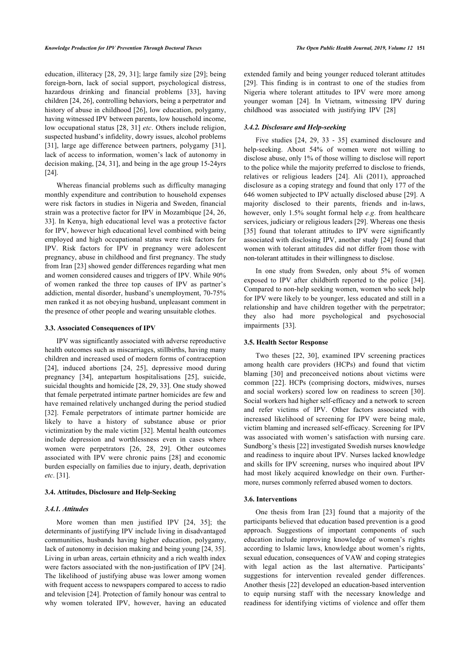education, illiteracy [28, 29, 31]; large family size [29]; being foreign-born, lack of social support, psychological distress, hazardous drinking and financial problems [33], having children [24, 26], controlling behaviors, being a perpetrator and history of abuse in childhood [26], low education, polygamy, having witnessed IPV between parents, low household income, low occupational status [28, 31] *etc*. Others include religion, suspected husband's infidelity, dowry issues, alcohol problems [31], large age difference between partners, polygamy [31], lack of access to information, women's lack of autonomy in decision making, [24, 31], and being in the age group 15-24yrs [24].

Whereas financial problems such as difficulty managing monthly expenditure and contribution to household expenses were risk factors in studies in Nigeria and Sweden, financial strain was a protective factor for IPV in Mozambique [24, 26, 33]. In Kenya, high educational level was a protective factor for IPV, however high educational level combined with being employed and high occupational status were risk factors for IPV. Risk factors for IPV in pregnancy were adolescent pregnancy, abuse in childhood and first pregnancy. The study from Iran [23] showed gender differences regarding what men and women considered causes and triggers of IPV. While 90% of women ranked the three top causes of IPV as partner's addiction, mental disorder, husband's unemployment, 70-75% men ranked it as not obeying husband, unpleasant comment in the presence of other people and wearing unsuitable clothes.

#### **3.3. Associated Consequences of IPV**

IPV was significantly associated with adverse reproductive health outcomes such as miscarriages, stillbirths, having many children and increased used of modern forms of contraception [24], induced abortions [24, 25], depressive mood during pregnancy [34], antepartum hospitalisations [25], suicide, suicidal thoughts and homicide [28, 29, 33]. One study showed that female perpetrated intimate partner homicides are few and have remained relatively unchanged during the period studied [32]. Female perpetrators of intimate partner homicide are likely to have a history of substance abuse or prior victimization by the male victim [32]. Mental health outcomes include depression and worthlessness even in cases where women were perpetrators [26, 28, 29]. Other outcomes associated with IPV were chronic pains [28] and economic burden especially on families due to injury, death, deprivation *etc*. [31].

### **3.4. Attitudes, Disclosure and Help-Seeking**

#### *3.4.1. Attitudes*

More women than men justified IPV [24, 35]; the determinants of justifying IPV include living in disadvantaged communities, husbands having higher education, polygamy, lack of autonomy in decision making and being young [24, 35]. Living in urban areas, certain ethnicity and a rich wealth index were factors associated with the non-justification of IPV [24]. The likelihood of justifying abuse was lower among women with frequent access to newspapers compared to access to radio and television [24]. Protection of family honour was central to why women tolerated IPV, however, having an educated extended family and being younger reduced tolerant attitudes [29]. This finding is in contrast to one of the studies from Nigeria where tolerant attitudes to IPV were more among younger woman [24]. In Vietnam, witnessing IPV during childhood was associated with justifying IPV [28]

## *3.4.2. Disclosure and Help-seeking*

Five studies [24, 29, 33 - 35] examined disclosure and help-seeking. About 54% of women were not willing to disclose abuse, only 1% of those willing to disclose will report to the police while the majority preferred to disclose to friends, relatives or religious leaders [24]. Ali (2011), approached disclosure as a coping strategy and found that only 177 of the 646 women subjected to IPV actually disclosed abuse [29]. A majority disclosed to their parents, friends and in-laws, however, only 1.5% sought formal help *e.g*. from healthcare services, judiciary or religious leaders [29]. Whereas one thesis [35] found that tolerant attitudes to IPV were significantly associated with disclosing IPV, another study [24] found that women with tolerant attitudes did not differ from those with non-tolerant attitudes in their willingness to disclose.

In one study from Sweden, only about 5% of women exposed to IPV after childbirth reported to the police [34]. Compared to non-help seeking women, women who seek help for IPV were likely to be younger, less educated and still in a relationship and have children together with the perpetrator; they also had more psychological and psychosocial impairments [33].

### **3.5. Health Sector Response**

Two theses [22, 30], examined IPV screening practices among health care providers (HCPs) and found that victim blaming [30] and preconceived notions about victims were common [22]. HCPs (comprising doctors, midwives, nurses and social workers) scored low on readiness to screen [30]. Social workers had higher self-efficacy and a network to screen and refer victims of IPV. Other factors associated with increased likelihood of screening for IPV were being male, victim blaming and increased self-efficacy. Screening for IPV was associated with women's satisfaction with nursing care. Sundborg's thesis [22] investigated Swedish nurses knowledge and readiness to inquire about IPV. Nurses lacked knowledge and skills for IPV screening, nurses who inquired about IPV had most likely acquired knowledge on their own. Furthermore, nurses commonly referred abused women to doctors.

#### **3.6. Interventions**

One thesis from Iran [23] found that a majority of the participants believed that education based prevention is a good approach. Suggestions of important components of such education include improving knowledge of women's rights according to Islamic laws, knowledge about women's rights, sexual education, consequences of VAW and coping strategies with legal action as the last alternative. Participants' suggestions for intervention revealed gender differences. Another thesis [22] developed an education-based intervention to equip nursing staff with the necessary knowledge and readiness for identifying victims of violence and offer them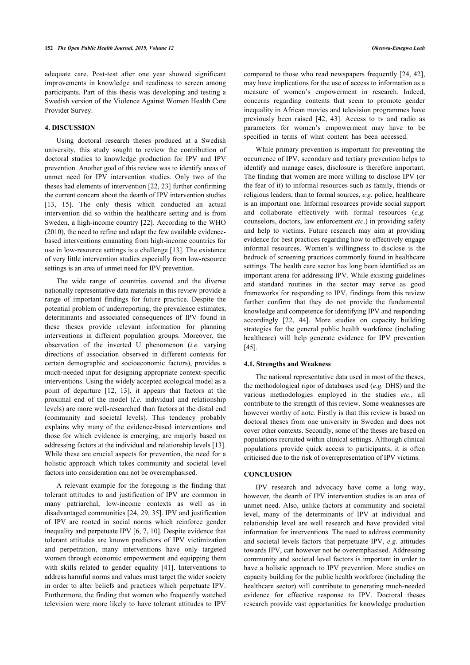adequate care. Post-test after one year showed significant improvements in knowledge and readiness to screen among participants. Part of this thesis was developing and testing a Swedish version of the Violence Against Women Health Care Provider Survey.

# **4. DISCUSSION**

Using doctoral research theses produced at a Swedish university, this study sought to review the contribution of doctoral studies to knowledge production for IPV and IPV prevention. Another goal of this review was to identify areas of unmet need for IPV intervention studies. Only two of the theses had elements of intervention [22, 23] further confirming the current concern about the dearth of IPV intervention studies [13, 15]. The only thesis which conducted an actual intervention did so within the healthcare setting and is from Sweden, a high-income country [22]. According to the WHO (2010), the need to refine and adapt the few available evidencebased interventions emanating from high-income countries for use in low-resource settings is a challenge [13]. The existence of very little intervention studies especially from low-resource settings is an area of unmet need for IPV prevention.

The wide range of countries covered and the diverse nationally representative data materials in this review provide a range of important findings for future practice. Despite the potential problem of underreporting, the prevalence estimates, determinants and associated consequences of IPV found in these theses provide relevant information for planning interventions in different population groups. Moreover, the observation of the inverted U phenomenon (*i.e.* varying directions of association observed in different contexts for certain demographic and socioeconomic factors), provides a much-needed input for designing appropriate context-specific interventions. Using the widely accepted ecological model as a point of departure [12, 13], it appears that factors at the proximal end of the model (*i.e.* individual and relationship levels) are more well-researched than factors at the distal end (community and societal levels). This tendency probably explains why many of the evidence-based interventions and those for which evidence is emerging, are majorly based on addressing factors at the individual and relationship levels [13]. While these are crucial aspects for prevention, the need for a holistic approach which takes community and societal level factors into consideration can not be overemphasised.

A relevant example for the foregoing is the finding that tolerant attitudes to and justification of IPV are common in many patriarchal, low-income contexts as well as in disadvantaged communities [24, 29, 35]. IPV and justification of IPV are rooted in social norms which reinforce gender inequality and perpetuate IPV [6, 7, 10]. Despite evidence that tolerant attitudes are known predictors of IPV victimization and perpetration, many interventions have only targeted women through economic empowerment and equipping them with skills related to gender equality [41]. Interventions to address harmful norms and values must target the wider society in order to alter beliefs and practices which perpetuate IPV. Furthermore, the finding that women who frequently watched television were more likely to have tolerant attitudes to IPV

compared to those who read newspapers frequently [24, 42], may have implications for the use of access to information as a measure of women's empowerment in research. Indeed, concerns regarding contents that seem to promote gender inequality in African movies and television programmes have previously been raised [42, 43]. Access to tv and radio as parameters for women's empowerment may have to be specified in terms of what content has been accessed.

While primary prevention is important for preventing the occurrence of IPV, secondary and tertiary prevention helps to identify and manage cases, disclosure is therefore important. The finding that women are more willing to disclose IPV (or the fear of it) to informal resources such as family, friends or religious leaders, than to formal sources, *e.g.* police, healthcare is an important one. Informal resources provide social support and collaborate effectively with formal resources (*e.g.* counselors, doctors, law enforcement *etc*.) in providing safety and help to victims. Future research may aim at providing evidence for best practices regarding how to effectively engage informal resources. Women's willingness to disclose is the bedrock of screening practices commonly found in healthcare settings. The health care sector has long been identified as an important arena for addressing IPV. While existing guidelines and standard routines in the sector may serve as good frameworks for responding to IPV, findings from this review further confirm that they do not provide the fundamental knowledge and competence for identifying IPV and responding accordingly [22, 44]. More studies on capacity building strategies for the general public health workforce (including healthcare) will help generate evidence for IPV prevention [45].

#### **4.1. Strengths and Weakness**

The national representative data used in most of the theses, the methodological rigor of databases used (*e.g.* DHS) and the various methodologies employed in the studies *etc.,* all contribute to the strength of this review. Some weaknesses are however worthy of note. Firstly is that this review is based on doctoral theses from one university in Sweden and does not cover other contexts. Secondly, some of the theses are based on populations recruited within clinical settings. Although clinical populations provide quick access to participants, it is often criticised due to the risk of overrepresentation of IPV victims.

### **CONCLUSION**

IPV research and advocacy have come a long way, however, the dearth of IPV intervention studies is an area of unmet need. Also, unlike factors at community and societal level, many of the determinants of IPV at individual and relationship level are well research and have provided vital information for interventions. The need to address community and societal levels factors that perpetuate IPV, *e.g.* attitudes towards IPV, can however not be overemphasised. Addressing community and societal level factors is important in order to have a holistic approach to IPV prevention. More studies on capacity building for the public health workforce (including the healthcare sector) will contribute to generating much-needed evidence for effective response to IPV. Doctoral theses research provide vast opportunities for knowledge production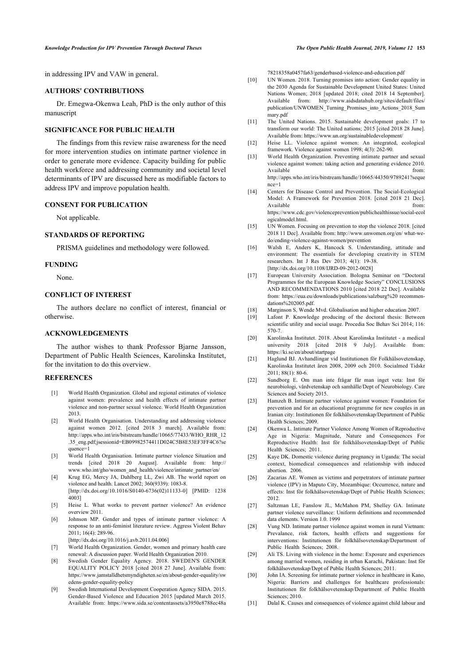in addressing IPV and VAW in general.

## **AUTHORS' CONTRIBUTIONS**

Dr. Emegwa-Okenwa Leah, PhD is the only author of this manuscript

## **SIGNIFICANCE FOR PUBLIC HEALTH**

The findings from this review raise awareness for the need for more intervention studies on intimate partner violence in order to generate more evidence. Capacity building for public health workforce and addressing community and societal level determinants of IPV are discussed here as modifiable factors to address IPV and improve population health.

## **CONSENT FOR PUBLICATION**

Not applicable.

#### **STANDARDS OF REPORTING**

PRISMA guidelines and methodology were followed.

## **FUNDING**

None.

## **CONFLICT OF INTEREST**

The authors declare no conflict of interest, financial or otherwise.

## **ACKNOWLEDGEMENTS**

The author wishes to thank Professor Bjarne Jansson, Department of Public Health Sciences, Karolinska Institutet, for the invitation to do this overview.

# **REFERENCES**

- [1] World Health Organization. Global and regional estimates of violence against women: prevalence and health effects of intimate partner violence and non-partner sexual violence. World Health Organization 2013.
- [2] World Health Organisation. Understanding and addressing violence against women 2012. [cited 2018 3 march]. Available from: http://apps.who.int/iris/bitstream/handle/10665/77433/WHO\_RHR\_12 .35\_eng.pdf;jsessionid=EB09982574411D024C5B8E53EF3FF4C6?se quence=1
- [3] World Health Organisation. Intimate partner violence Situation and trends [cited 2018 20 August]. Available from: http:// www.who.int/gho/women\_and\_health/violence/intimate\_partner/en/
- [4] Krug EG, Mercy JA, Dahlberg LL, Zwi AB. The world report on violence and health. Lancet 2002; 360(9339): 1083-8. [http://dx.doi.org/10.1016/S0140-6736(02)11133-0] [PMID: 1238 4003]
- [5] Heise L. What works to prevent partner violence? An evidence overview 2011.
- [6] Johnson MP. Gender and types of intimate partner violence: A response to an anti-feminist literature review. Aggress Violent Behav 2011; 16(4): 289-96.
- [http://dx.doi.org/10.1016/j.avb.2011.04.006] [7] World Health Organization. Gender, women and primary health care renewal: A discussion paper. World Health Organization 2010.
- [8] Swedish Gender Equality Agency. 2018. SWEDEN'S GENDER EQUALITY POLICY 2018 [cited 2018 27 June]. Available from: https://www.jamstalldhetsmyndigheten.se/en/about-gender-equality/sw edens-gender-equality-policy
- [9] Swedish International Development Cooperation Agency SIDA. 2015. Gender-Based Violence and Education 2015 [updated March 2015. Available from: https://www.sida.se/contentassets/a3950e8788ec48a

78218358a0457fa63/genderbased-violence-and-education.pdf

- [10] UN Women. 2018. Turning promises into action: Gender equality in the 2030 Agenda for Sustainable Development United States: United Nations Women; 2018 [updated 2018; cited 2018 14 September]. Available from: http://www.aidsdatahub.org/sites/default/files/ publication/UNWOMEN\_Turning\_Promises\_into\_Actions\_2018\_Sum mary.pdf
- [11] The United Nations. 2015. Sustainable development goals: 17 to transform our world: The United nations; 2015 [cited 2018 28 June]. Available from: https://www.un.org/sustainabledevelopment/
- [12] Heise LL. Violence against women: An integrated, ecological framework. Violence against women 1998; 4(3): 262-90.
- [13] World Health Organization. Preventing intimate partner and sexual violence against women: taking action and generating evidence 2010. Available from:  $\blacksquare$ http://apps.who.int/iris/bitstream/handle/10665/44350/9789241?seque  $nce=1$
- [14] Centers for Disease Control and Prevention. The Social-Ecological Model: A Framework for Prevention 2018. [cited 2018 21 Dec]. Available from:  $\blacksquare$ https://www.cdc.gov/violenceprevention/publichealthissue/social-ecol ogicalmodel.html.
- [15] UN Women. Focusing on prevention to stop the violence 2018. [cited] 2018 11 Decl. Available from: http://www.unwomen.org/en/ what-wedo/ending-violence-against-women/prevention
- [16] Walsh E, Anders K, Hancock S. Understanding, attitude and environment: The essentials for developing creativity in STEM researchers. Int J Res Dev 2013; 4(1): 19-38. [http://dx.doi.org/10.1108/IJRD-09-2012-0028]
- [17] European University Association. Bologna Seminar on "Doctoral Programmes for the European Knowledge Society" CONCLUSIONS AND RECOMMENDATIONS 2010 [cited 2018 22 Dec]. Available from: https://eua.eu/downloads/publications/salzburg%20 recommendations%202005.pdf.
- [18] Marginson S, Wende Mvd. Globalisation and higher education 2007.
- [19] Lafont P. Knowledge producing of the doctoral thesis: Between scientific utility and social usage. Procedia Soc Behav Sci 2014; 116: 570-7.
- [20] Karolinska Institutet. 2018. About Karolinska Institutet a medical university 2018 [cited 2018 9 July]. Available from: https://ki.se/en/about/startpage
- [21] Haglund BJ. Avhandlingar vid Institutionen för Folkhälsovetenskap, Karolinska Institutet åren 2008, 2009 och 2010. Socialmed Tidskr 2011; 88(1): 80-6.
- [22] Sundborg E. Om man inte frågar får man inget veta: Inst för neurobiologi, vårdvetenskap och samhälle/Dept of Neurobiology. Care Sciences and Society 2015.
- [23] Hamzeh B. Intimate partner violence against women: Foundation for prevention and for an educational programme for new couples in an Iranian city: Institutionen för folkhälsovetenskap/Department of Public Health Sciences; 2009.
- [24] Okenwa L. Intimate Partner Violence Among Women of Reproductive Age in Nigeria: Magnitude, Nature and Consequences For Reproductive Health: Inst för folkhälsovetenskap/Dept of Public Health Sciences; 2011.
- [25] Kaye DK. Domestic violence during pregnancy in Uganda: The social context, biomedical consequences and relationship with induced abortion. 2006.
- [26] Zacarias AE. Women as victims and perpetrators of intimate partner violence (IPV) in Maputo City, Mozambique: Occurrence, nature and effects: Inst för folkhälsovetenskap/Dept of Public Health Sciences; 2012.
- [27] Saltzman LE, Fanslow JL, McMahon PM, Shelley GA. Intimate partner violence surveillance: Uniform definitions and recommended data elements. Version 1.0. 1999
- [28] Vung ND. Intimate partner violence against women in rural Vietnam: Prevalance, risk factors, health effects and suggestions for interventions: Institutionen för folkhälsovetenskap/Department of Public Health Sciences; 2008.
- [29] Ali TS. Living with violence in the home: Exposure and experiences among married women, residing in urban Karachi, Pakistan: Inst för folkhälsovetenskap/Dept of Public Health Sciences; 2011.
- [30] John IA. Screening for intimate partner violence in healthcare in Kano, Nigeria: Barriers and challenges for healthcare professionals: Institutionen för folkhälsovetenskap/Department of Public Health Sciences: 2010.
- [31] Dalal K. Causes and consequences of violence against child labour and